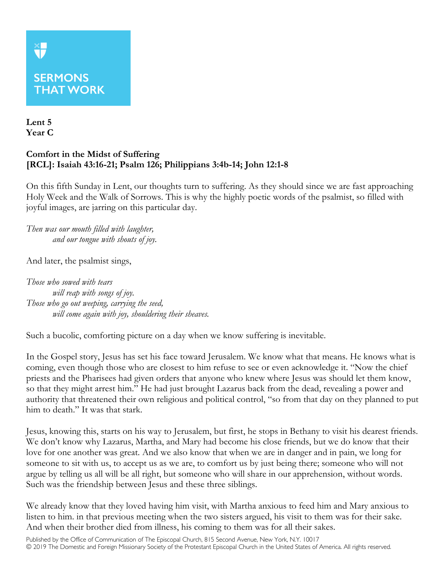## **XP**

## **SERMONS THAT WORK**

**Lent 5 Year C**

## **Comfort in the Midst of Suffering [RCL]: Isaiah 43:16-21; Psalm 126; Philippians 3:4b-14; John 12:1-8**

On this fifth Sunday in Lent, our thoughts turn to suffering. As they should since we are fast approaching Holy Week and the Walk of Sorrows. This is why the highly poetic words of the psalmist, so filled with joyful images, are jarring on this particular day.

*Then was our mouth filled with laughter, and our tongue with shouts of joy.*

And later, the psalmist sings,

*Those who sowed with tears will reap with songs of joy. Those who go out weeping, carrying the seed, will come again with joy, shouldering their sheaves.*

Such a bucolic, comforting picture on a day when we know suffering is inevitable.

In the Gospel story, Jesus has set his face toward Jerusalem. We know what that means. He knows what is coming, even though those who are closest to him refuse to see or even acknowledge it. "Now the chief priests and the Pharisees had given orders that anyone who knew where Jesus was should let them know, so that they might arrest him." He had just brought Lazarus back from the dead, revealing a power and authority that threatened their own religious and political control, "so from that day on they planned to put him to death." It was that stark.

Jesus, knowing this, starts on his way to Jerusalem, but first, he stops in Bethany to visit his dearest friends. We don't know why Lazarus, Martha, and Mary had become his close friends, but we do know that their love for one another was great. And we also know that when we are in danger and in pain, we long for someone to sit with us, to accept us as we are, to comfort us by just being there; someone who will not argue by telling us all will be all right, but someone who will share in our apprehension, without words. Such was the friendship between Jesus and these three siblings.

We already know that they loved having him visit, with Martha anxious to feed him and Mary anxious to listen to him. in that previous meeting when the two sisters argued, his visit to them was for their sake. And when their brother died from illness, his coming to them was for all their sakes.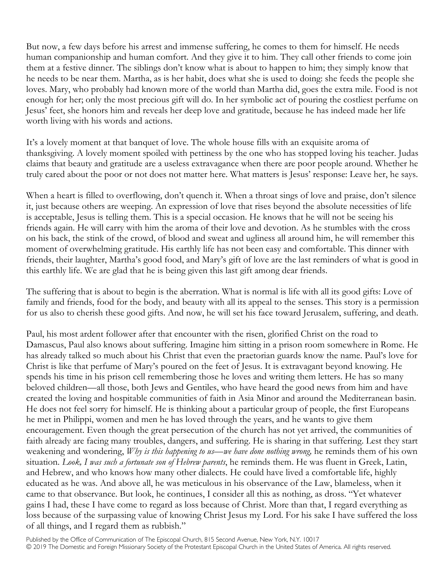But now, a few days before his arrest and immense suffering, he comes to them for himself. He needs human companionship and human comfort. And they give it to him. They call other friends to come join them at a festive dinner. The siblings don't know what is about to happen to him; they simply know that he needs to be near them. Martha, as is her habit, does what she is used to doing: she feeds the people she loves. Mary, who probably had known more of the world than Martha did, goes the extra mile. Food is not enough for her; only the most precious gift will do. In her symbolic act of pouring the costliest perfume on Jesus' feet, she honors him and reveals her deep love and gratitude, because he has indeed made her life worth living with his words and actions.

It's a lovely moment at that banquet of love. The whole house fills with an exquisite aroma of thanksgiving. A lovely moment spoiled with pettiness by the one who has stopped loving his teacher. Judas claims that beauty and gratitude are a useless extravagance when there are poor people around. Whether he truly cared about the poor or not does not matter here. What matters is Jesus' response: Leave her, he says.

When a heart is filled to overflowing, don't quench it. When a throat sings of love and praise, don't silence it, just because others are weeping. An expression of love that rises beyond the absolute necessities of life is acceptable, Jesus is telling them. This is a special occasion. He knows that he will not be seeing his friends again. He will carry with him the aroma of their love and devotion. As he stumbles with the cross on his back, the stink of the crowd, of blood and sweat and ugliness all around him, he will remember this moment of overwhelming gratitude. His earthly life has not been easy and comfortable. This dinner with friends, their laughter, Martha's good food, and Mary's gift of love are the last reminders of what is good in this earthly life. We are glad that he is being given this last gift among dear friends.

The suffering that is about to begin is the aberration. What is normal is life with all its good gifts: Love of family and friends, food for the body, and beauty with all its appeal to the senses. This story is a permission for us also to cherish these good gifts. And now, he will set his face toward Jerusalem, suffering, and death.

Paul, his most ardent follower after that encounter with the risen, glorified Christ on the road to Damascus, Paul also knows about suffering. Imagine him sitting in a prison room somewhere in Rome. He has already talked so much about his Christ that even the praetorian guards know the name. Paul's love for Christ is like that perfume of Mary's poured on the feet of Jesus. It is extravagant beyond knowing. He spends his time in his prison cell remembering those he loves and writing them letters. He has so many beloved children—all those, both Jews and Gentiles, who have heard the good news from him and have created the loving and hospitable communities of faith in Asia Minor and around the Mediterranean basin. He does not feel sorry for himself. He is thinking about a particular group of people, the first Europeans he met in Philippi, women and men he has loved through the years, and he wants to give them encouragement. Even though the great persecution of the church has not yet arrived, the communities of faith already are facing many troubles, dangers, and suffering. He is sharing in that suffering. Lest they start weakening and wondering, *Why is this happening to us—we have done nothing wrong,* he reminds them of his own situation. *Look, I was such a fortunate son of Hebrew parents*, he reminds them. He was fluent in Greek, Latin, and Hebrew, and who knows how many other dialects. He could have lived a comfortable life, highly educated as he was. And above all, he was meticulous in his observance of the Law, blameless, when it came to that observance. But look, he continues, I consider all this as nothing, as dross. "Yet whatever gains I had, these I have come to regard as loss because of Christ. More than that, I regard everything as loss because of the surpassing value of knowing Christ Jesus my Lord. For his sake I have suffered the loss of all things, and I regard them as rubbish."